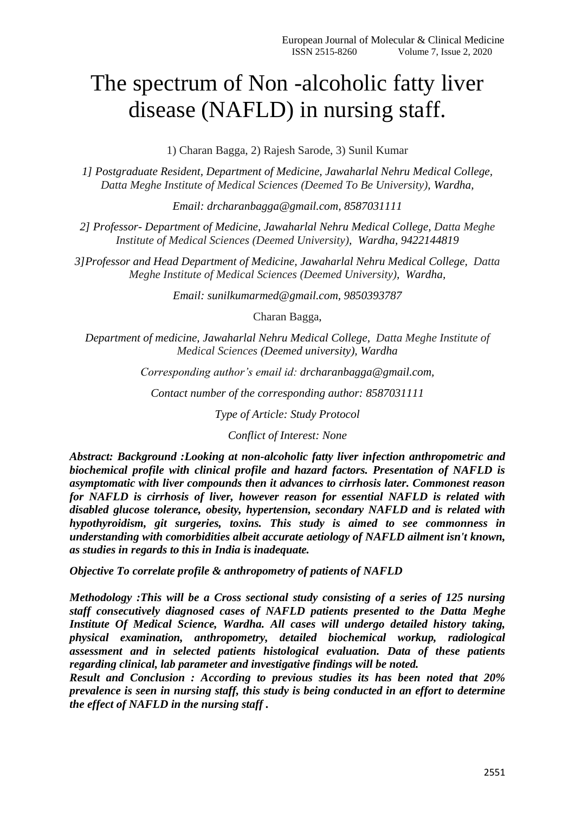# The spectrum of Non -alcoholic fatty liver disease (NAFLD) in nursing staff.

1) Charan Bagga, 2) Rajesh Sarode, 3) Sunil Kumar

*1] Postgraduate Resident, Department of Medicine, Jawaharlal Nehru Medical College, Datta Meghe Institute of Medical Sciences (Deemed To Be University), Wardha,*

*Email: drcharanbagga@gmail.com, 8587031111*

*2] Professor- Department of Medicine, Jawaharlal Nehru Medical College, Datta Meghe Institute of Medical Sciences (Deemed University), Wardha, 9422144819*

*3]Professor and Head Department of Medicine, Jawaharlal Nehru Medical College, Datta Meghe Institute of Medical Sciences (Deemed University), Wardha,*

*Email: sunilkumarmed@gmail.com, 9850393787*

Charan Bagga,

*Department of medicine, Jawaharlal Nehru Medical College, Datta Meghe Institute of Medical Sciences (Deemed university), Wardha*

*Corresponding author's email id: drcharanbagga@gmail.com,*

*Contact number of the corresponding author: 8587031111*

*Type of Article: Study Protocol*

*Conflict of Interest: None*

*Abstract: Background :Looking at non-alcoholic fatty liver infection anthropometric and biochemical profile with clinical profile and hazard factors. Presentation of NAFLD is asymptomatic with liver compounds then it advances to cirrhosis later. Commonest reason for NAFLD is cirrhosis of liver, however reason for essential NAFLD is related with disabled glucose tolerance, obesity, hypertension, secondary NAFLD and is related with hypothyroidism, git surgeries, toxins. This study is aimed to see commonness in understanding with comorbidities albeit accurate aetiology of NAFLD ailment isn't known, as studies in regards to this in India is inadequate.*

*Objective To correlate profile & anthropometry of patients of NAFLD* 

*Methodology :This will be a Cross sectional study consisting of a series of 125 nursing staff consecutively diagnosed cases of NAFLD patients presented to the Datta Meghe Institute Of Medical Science, Wardha. All cases will undergo detailed history taking, physical examination, anthropometry, detailed biochemical workup, radiological assessment and in selected patients histological evaluation. Data of these patients regarding clinical, lab parameter and investigative findings will be noted.* 

*Result and Conclusion : According to previous studies its has been noted that 20% prevalence is seen in nursing staff, this study is being conducted in an effort to determine the effect of NAFLD in the nursing staff .*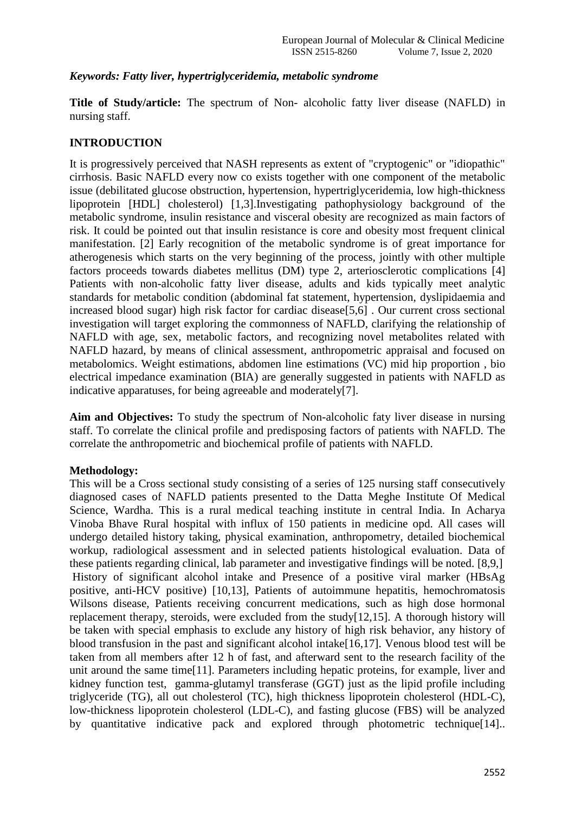### *Keywords: Fatty liver, hypertriglyceridemia, metabolic syndrome*

**Title of Study/article:** The spectrum of Non- alcoholic fatty liver disease (NAFLD) in nursing staff.

## **INTRODUCTION**

It is progressively perceived that NASH represents as extent of "cryptogenic" or "idiopathic" cirrhosis. Basic NAFLD every now co exists together with one component of the metabolic issue (debilitated glucose obstruction, hypertension, hypertriglyceridemia, low high-thickness lipoprotein [HDL] cholesterol) [1,3].Investigating pathophysiology background of the metabolic syndrome, insulin resistance and visceral obesity are recognized as main factors of risk. It could be pointed out that insulin resistance is core and obesity most frequent clinical manifestation. [2] Early recognition of the metabolic syndrome is of great importance for atherogenesis which starts on the very beginning of the process, jointly with other multiple factors proceeds towards diabetes mellitus (DM) type 2, arteriosclerotic complications [4] Patients with non-alcoholic fatty liver disease, adults and kids typically meet analytic standards for metabolic condition (abdominal fat statement, hypertension, dyslipidaemia and increased blood sugar) high risk factor for cardiac disease[5,6] . Our current cross sectional investigation will target exploring the commonness of NAFLD, clarifying the relationship of NAFLD with age, sex, metabolic factors, and recognizing novel metabolites related with NAFLD hazard, by means of clinical assessment, anthropometric appraisal and focused on metabolomics. Weight estimations, abdomen line estimations (VC) mid hip proportion , bio electrical impedance examination (BIA) are generally suggested in patients with NAFLD as indicative apparatuses, for being agreeable and moderately[7].

**Aim and Objectives:** To study the spectrum of Non-alcoholic faty liver disease in nursing staff. To correlate the clinical profile and predisposing factors of patients with NAFLD. The correlate the anthropometric and biochemical profile of patients with NAFLD.

#### **Methodology:**

This will be a Cross sectional study consisting of a series of 125 nursing staff consecutively diagnosed cases of NAFLD patients presented to the Datta Meghe Institute Of Medical Science, Wardha. This is a rural medical teaching institute in central India. In Acharya Vinoba Bhave Rural hospital with influx of 150 patients in medicine opd. All cases will undergo detailed history taking, physical examination, anthropometry, detailed biochemical workup, radiological assessment and in selected patients histological evaluation. Data of these patients regarding clinical, lab parameter and investigative findings will be noted. [8,9,] History of significant alcohol intake and Presence of a positive viral marker (HBsAg positive, anti-HCV positive) [10,13], Patients of autoimmune hepatitis, hemochromatosis Wilsons disease, Patients receiving concurrent medications, such as high dose hormonal replacement therapy, steroids, were excluded from the study[12,15]. A thorough history will be taken with special emphasis to exclude any history of high risk behavior, any history of blood transfusion in the past and significant alcohol intake[16,17]. Venous blood test will be taken from all members after 12 h of fast, and afterward sent to the research facility of the unit around the same time[11]. Parameters including hepatic proteins, for example, liver and kidney function test, gamma-glutamyl transferase (GGT) just as the lipid profile including triglyceride (TG), all out cholesterol (TC), high thickness lipoprotein cholesterol (HDL-C), low-thickness lipoprotein cholesterol (LDL-C), and fasting glucose (FBS) will be analyzed by quantitative indicative pack and explored through photometric technique [14].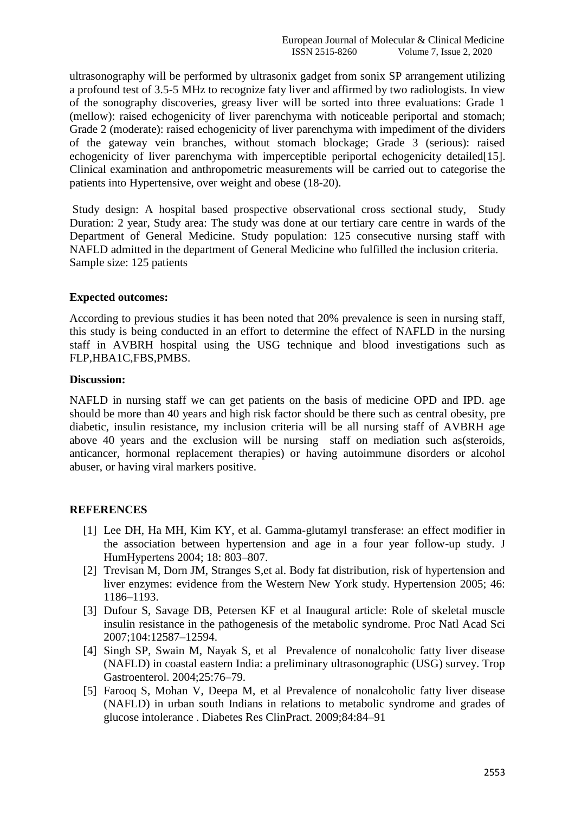ultrasonography will be performed by ultrasonix gadget from sonix SP arrangement utilizing a profound test of 3.5-5 MHz to recognize faty liver and affirmed by two radiologists. In view of the sonography discoveries, greasy liver will be sorted into three evaluations: Grade 1 (mellow): raised echogenicity of liver parenchyma with noticeable periportal and stomach; Grade 2 (moderate): raised echogenicity of liver parenchyma with impediment of the dividers of the gateway vein branches, without stomach blockage; Grade 3 (serious): raised echogenicity of liver parenchyma with imperceptible periportal echogenicity detailed [15]. Clinical examination and anthropometric measurements will be carried out to categorise the patients into Hypertensive, over weight and obese (18-20).

Study design: A hospital based prospective observational cross sectional study, Study Duration: 2 year, Study area: The study was done at our tertiary care centre in wards of the Department of General Medicine. Study population: 125 consecutive nursing staff with NAFLD admitted in the department of General Medicine who fulfilled the inclusion criteria. Sample size: 125 patients

#### **Expected outcomes:**

According to previous studies it has been noted that 20% prevalence is seen in nursing staff, this study is being conducted in an effort to determine the effect of NAFLD in the nursing staff in AVBRH hospital using the USG technique and blood investigations such as FLP,HBA1C,FBS,PMBS.

#### **Discussion:**

NAFLD in nursing staff we can get patients on the basis of medicine OPD and IPD. age should be more than 40 years and high risk factor should be there such as central obesity, pre diabetic, insulin resistance, my inclusion criteria will be all nursing staff of AVBRH age above 40 years and the exclusion will be nursing staff on mediation such as(steroids, anticancer, hormonal replacement therapies) or having autoimmune disorders or alcohol abuser, or having viral markers positive.

## **REFERENCES**

- [1] Lee DH, Ha MH, Kim KY, et al. Gamma-glutamyl transferase: an effect modifier in the association between hypertension and age in a four year follow-up study. J HumHypertens 2004; 18: 803–807.
- [2] Trevisan M, Dorn JM, Stranges S,et al. Body fat distribution, risk of hypertension and liver enzymes: evidence from the Western New York study. Hypertension 2005; 46: 1186–1193.
- [3] Dufour S, Savage DB, Petersen KF et al Inaugural article: Role of skeletal muscle insulin resistance in the pathogenesis of the metabolic syndrome. Proc Natl Acad Sci 2007;104:12587–12594.
- [4] Singh SP, Swain M, Nayak S, et al Prevalence of nonalcoholic fatty liver disease (NAFLD) in coastal eastern India: a preliminary ultrasonographic (USG) survey. Trop Gastroenterol. 2004;25:76–79.
- [5] Farooq S, Mohan V, Deepa M, et al Prevalence of nonalcoholic fatty liver disease (NAFLD) in urban south Indians in relations to metabolic syndrome and grades of glucose intolerance . Diabetes Res ClinPract. 2009;84:84–91